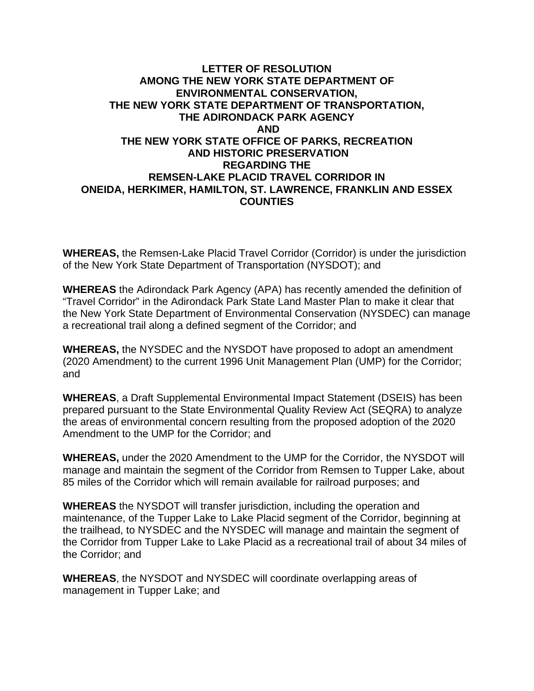## **LETTER OF RESOLUTION AMONG THE NEW YORK STATE DEPARTMENT OF ENVIRONMENTAL CONSERVATION, THE NEW YORK STATE DEPARTMENT OF TRANSPORTATION, THE ADIRONDACK PARK AGENCY AND THE NEW YORK STATE OFFICE OF PARKS, RECREATION AND HISTORIC PRESERVATION REGARDING THE REMSEN-LAKE PLACID TRAVEL CORRIDOR IN ONEIDA, HERKIMER, HAMILTON, ST. LAWRENCE, FRANKLIN AND ESSEX COUNTIES**

**WHEREAS,** the Remsen-Lake Placid Travel Corridor (Corridor) is under the jurisdiction of the New York State Department of Transportation (NYSDOT); and

**WHEREAS** the Adirondack Park Agency (APA) has recently amended the definition of "Travel Corridor" in the Adirondack Park State Land Master Plan to make it clear that the New York State Department of Environmental Conservation (NYSDEC) can manage a recreational trail along a defined segment of the Corridor; and

**WHEREAS,** the NYSDEC and the NYSDOT have proposed to adopt an amendment (2020 Amendment) to the current 1996 Unit Management Plan (UMP) for the Corridor; and

**WHEREAS**, a Draft Supplemental Environmental Impact Statement (DSEIS) has been prepared pursuant to the State Environmental Quality Review Act (SEQRA) to analyze the areas of environmental concern resulting from the proposed adoption of the 2020 Amendment to the UMP for the Corridor; and

**WHEREAS,** under the 2020 Amendment to the UMP for the Corridor, the NYSDOT will manage and maintain the segment of the Corridor from Remsen to Tupper Lake, about 85 miles of the Corridor which will remain available for railroad purposes; and

**WHEREAS** the NYSDOT will transfer jurisdiction, including the operation and maintenance, of the Tupper Lake to Lake Placid segment of the Corridor, beginning at the trailhead, to NYSDEC and the NYSDEC will manage and maintain the segment of the Corridor from Tupper Lake to Lake Placid as a recreational trail of about 34 miles of the Corridor; and

**WHEREAS**, the NYSDOT and NYSDEC will coordinate overlapping areas of management in Tupper Lake; and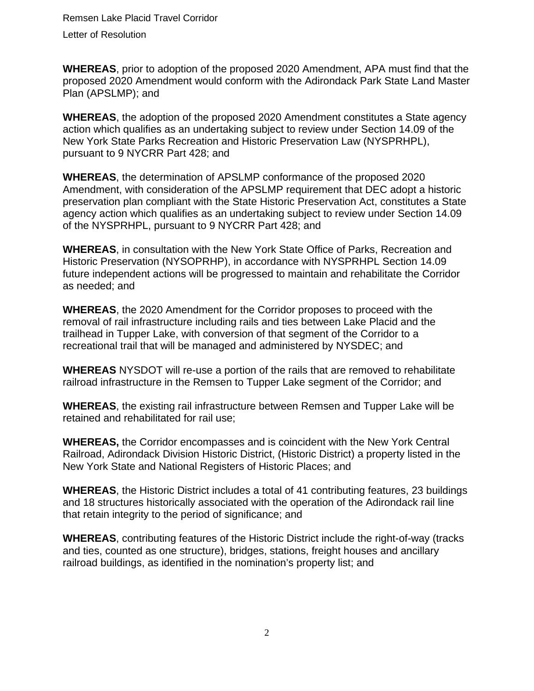**WHEREAS**, prior to adoption of the proposed 2020 Amendment, APA must find that the proposed 2020 Amendment would conform with the Adirondack Park State Land Master Plan (APSLMP); and

**WHEREAS**, the adoption of the proposed 2020 Amendment constitutes a State agency action which qualifies as an undertaking subject to review under Section 14.09 of the New York State Parks Recreation and Historic Preservation Law (NYSPRHPL), pursuant to 9 NYCRR Part 428; and

**WHEREAS**, the determination of APSLMP conformance of the proposed 2020 Amendment, with consideration of the APSLMP requirement that DEC adopt a historic preservation plan compliant with the State Historic Preservation Act, constitutes a State agency action which qualifies as an undertaking subject to review under Section 14.09 of the NYSPRHPL, pursuant to 9 NYCRR Part 428; and

**WHEREAS**, in consultation with the New York State Office of Parks, Recreation and Historic Preservation (NYSOPRHP), in accordance with NYSPRHPL Section 14.09 future independent actions will be progressed to maintain and rehabilitate the Corridor as needed; and

**WHEREAS**, the 2020 Amendment for the Corridor proposes to proceed with the removal of rail infrastructure including rails and ties between Lake Placid and the trailhead in Tupper Lake, with conversion of that segment of the Corridor to a recreational trail that will be managed and administered by NYSDEC; and

**WHEREAS** NYSDOT will re-use a portion of the rails that are removed to rehabilitate railroad infrastructure in the Remsen to Tupper Lake segment of the Corridor; and

**WHEREAS**, the existing rail infrastructure between Remsen and Tupper Lake will be retained and rehabilitated for rail use;

**WHEREAS,** the Corridor encompasses and is coincident with the New York Central Railroad, Adirondack Division Historic District, (Historic District) a property listed in the New York State and National Registers of Historic Places; and

**WHEREAS**, the Historic District includes a total of 41 contributing features, 23 buildings and 18 structures historically associated with the operation of the Adirondack rail line that retain integrity to the period of significance; and

**WHEREAS**, contributing features of the Historic District include the right-of-way (tracks and ties, counted as one structure), bridges, stations, freight houses and ancillary railroad buildings, as identified in the nomination's property list; and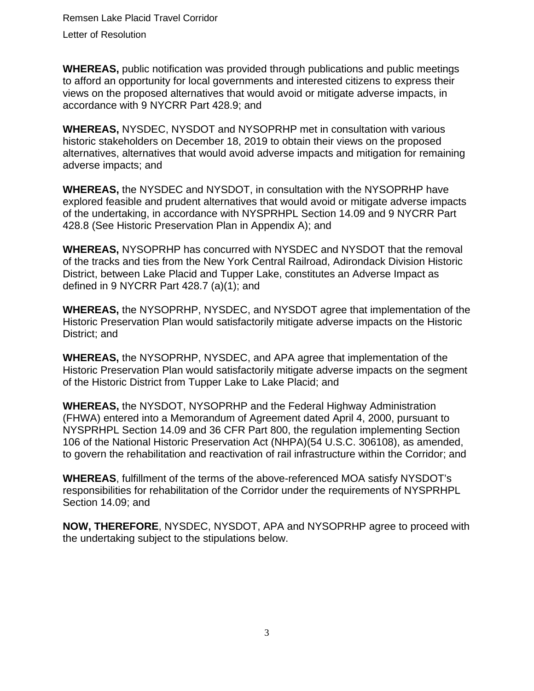**WHEREAS,** public notification was provided through publications and public meetings to afford an opportunity for local governments and interested citizens to express their views on the proposed alternatives that would avoid or mitigate adverse impacts, in accordance with 9 NYCRR Part 428.9; and

**WHEREAS,** NYSDEC, NYSDOT and NYSOPRHP met in consultation with various historic stakeholders on December 18, 2019 to obtain their views on the proposed alternatives, alternatives that would avoid adverse impacts and mitigation for remaining adverse impacts; and

**WHEREAS,** the NYSDEC and NYSDOT, in consultation with the NYSOPRHP have explored feasible and prudent alternatives that would avoid or mitigate adverse impacts of the undertaking, in accordance with NYSPRHPL Section 14.09 and 9 NYCRR Part 428.8 (See Historic Preservation Plan in Appendix A); and

**WHEREAS,** NYSOPRHP has concurred with NYSDEC and NYSDOT that the removal of the tracks and ties from the New York Central Railroad, Adirondack Division Historic District, between Lake Placid and Tupper Lake, constitutes an Adverse Impact as defined in 9 NYCRR Part 428.7 (a)(1); and

**WHEREAS,** the NYSOPRHP, NYSDEC, and NYSDOT agree that implementation of the Historic Preservation Plan would satisfactorily mitigate adverse impacts on the Historic District; and

**WHEREAS,** the NYSOPRHP, NYSDEC, and APA agree that implementation of the Historic Preservation Plan would satisfactorily mitigate adverse impacts on the segment of the Historic District from Tupper Lake to Lake Placid; and

**WHEREAS,** the NYSDOT, NYSOPRHP and the Federal Highway Administration (FHWA) entered into a Memorandum of Agreement dated April 4, 2000, pursuant to NYSPRHPL Section 14.09 and 36 CFR Part 800, the regulation implementing Section 106 of the National Historic Preservation Act (NHPA)(54 U.S.C. 306108), as amended, to govern the rehabilitation and reactivation of rail infrastructure within the Corridor; and

**WHEREAS**, fulfillment of the terms of the above-referenced MOA satisfy NYSDOT's responsibilities for rehabilitation of the Corridor under the requirements of NYSPRHPL Section 14.09; and

**NOW, THEREFORE**, NYSDEC, NYSDOT, APA and NYSOPRHP agree to proceed with the undertaking subject to the stipulations below.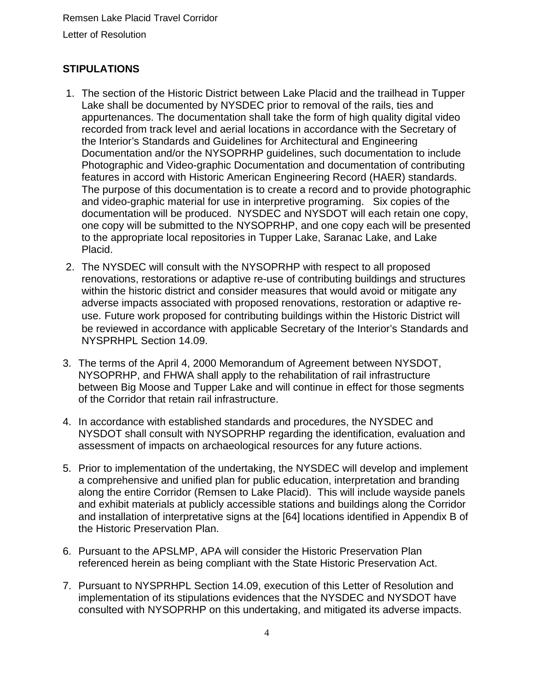## **STIPULATIONS**

- 1. The section of the Historic District between Lake Placid and the trailhead in Tupper Lake shall be documented by NYSDEC prior to removal of the rails, ties and appurtenances. The documentation shall take the form of high quality digital video recorded from track level and aerial locations in accordance with the Secretary of the Interior's Standards and Guidelines for Architectural and Engineering Documentation and/or the NYSOPRHP guidelines, such documentation to include Photographic and Video-graphic Documentation and documentation of contributing features in accord with Historic American Engineering Record (HAER) standards. The purpose of this documentation is to create a record and to provide photographic and video-graphic material for use in interpretive programing. Six copies of the documentation will be produced. NYSDEC and NYSDOT will each retain one copy, one copy will be submitted to the NYSOPRHP, and one copy each will be presented to the appropriate local repositories in Tupper Lake, Saranac Lake, and Lake Placid.
- 2. The NYSDEC will consult with the NYSOPRHP with respect to all proposed renovations, restorations or adaptive re-use of contributing buildings and structures within the historic district and consider measures that would avoid or mitigate any adverse impacts associated with proposed renovations, restoration or adaptive reuse. Future work proposed for contributing buildings within the Historic District will be reviewed in accordance with applicable Secretary of the Interior's Standards and NYSPRHPL Section 14.09.
- 3. The terms of the April 4, 2000 Memorandum of Agreement between NYSDOT, NYSOPRHP, and FHWA shall apply to the rehabilitation of rail infrastructure between Big Moose and Tupper Lake and will continue in effect for those segments of the Corridor that retain rail infrastructure.
- 4. In accordance with established standards and procedures, the NYSDEC and NYSDOT shall consult with NYSOPRHP regarding the identification, evaluation and assessment of impacts on archaeological resources for any future actions.
- 5. Prior to implementation of the undertaking, the NYSDEC will develop and implement a comprehensive and unified plan for public education, interpretation and branding along the entire Corridor (Remsen to Lake Placid). This will include wayside panels and exhibit materials at publicly accessible stations and buildings along the Corridor and installation of interpretative signs at the [64] locations identified in Appendix B of the Historic Preservation Plan.
- 6. Pursuant to the APSLMP, APA will consider the Historic Preservation Plan referenced herein as being compliant with the State Historic Preservation Act.
- 7. Pursuant to NYSPRHPL Section 14.09, execution of this Letter of Resolution and implementation of its stipulations evidences that the NYSDEC and NYSDOT have consulted with NYSOPRHP on this undertaking, and mitigated its adverse impacts.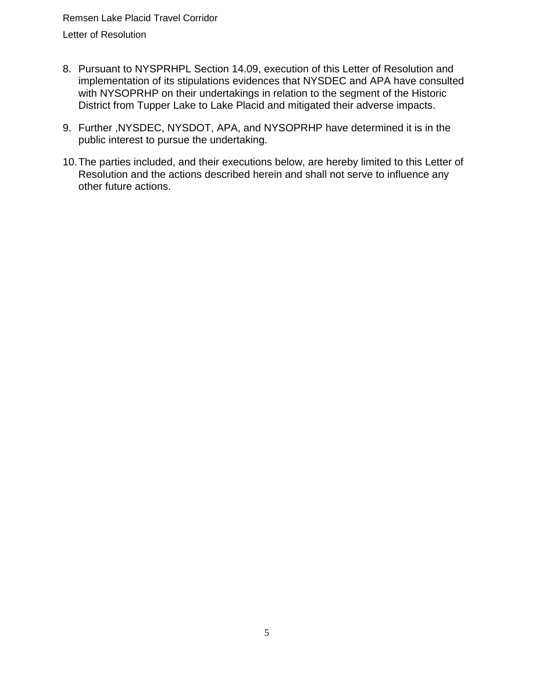- 8. Pursuant to NYSPRHPL Section 14.09, execution of this Letter of Resolution and implementation of its stipulations evidences that NYSDEC and APA have consulted with NYSOPRHP on their undertakings in relation to the segment of the Historic District from Tupper Lake to Lake Placid and mitigated their adverse impacts.
- 9. Further ,NYSDEC, NYSDOT, APA, and NYSOPRHP have determined it is in the public interest to pursue the undertaking.
- 10.The parties included, and their executions below, are hereby limited to this Letter of Resolution and the actions described herein and shall not serve to influence any other future actions.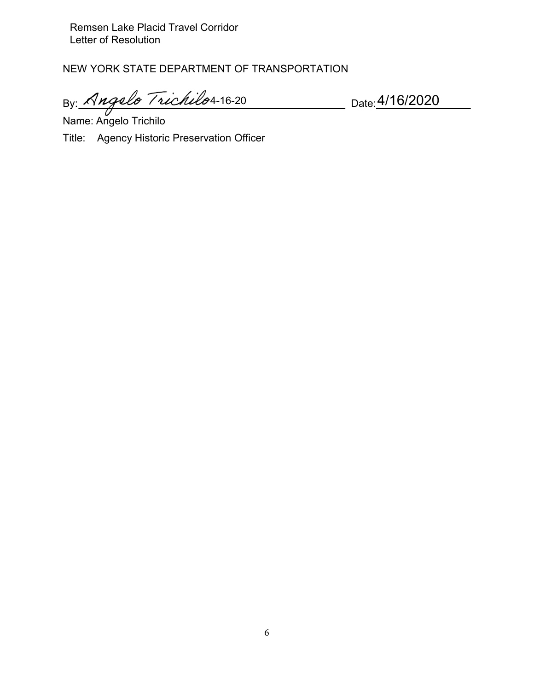## NEW YORK STATE DEPARTMENT OF TRANSPORTATION

Date: By:

4-16-20 <sub>Date:</sub>  4/16/2020

Name: Angelo Trichilo

Title: Agency Historic Preservation Officer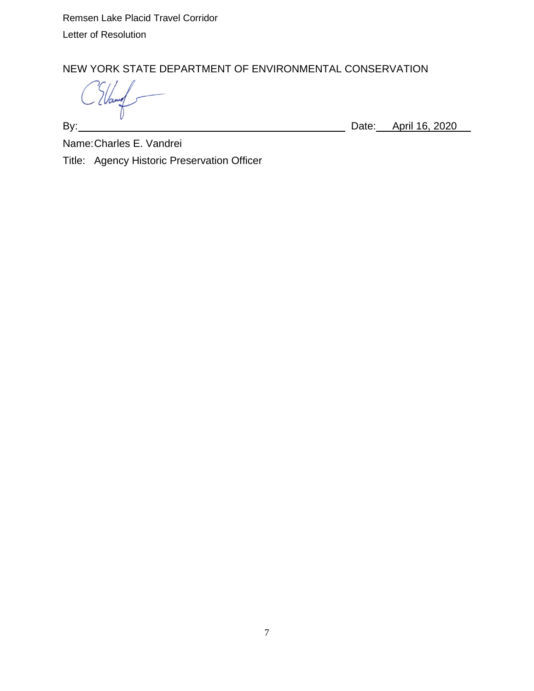NEW YORK STATE DEPARTMENT OF ENVIRONMENTAL CONSERVATION

By: Date: April 16, 2020

Name:Charles E. Vandrei

Title: Agency Historic Preservation Officer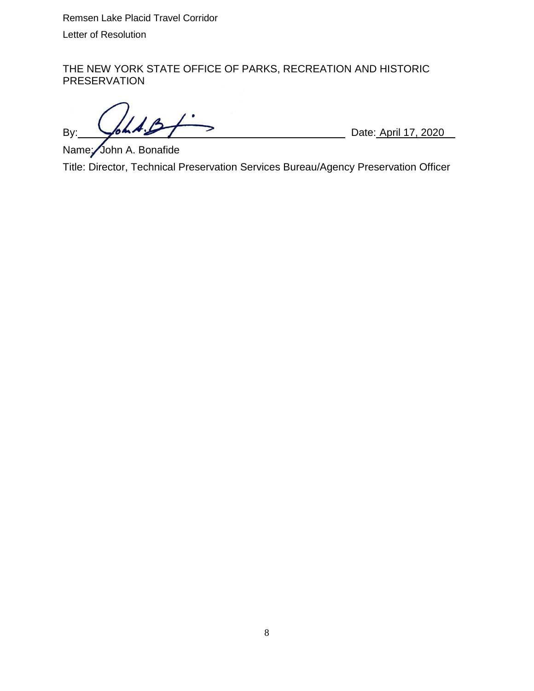THE NEW YORK STATE OFFICE OF PARKS, RECREATION AND HISTORIC PRESERVATION

 $By: 2020$ 

Name: John A. Bonafide Title: Director, Technical Preservation Services Bureau/Agency Preservation Officer